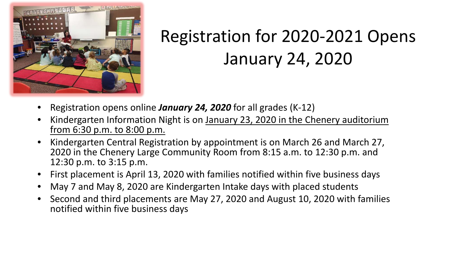

## Registration for 2020-2021 Opens January 24, 2020

- Registration opens online *January 24, 2020* for all grades (K-12)
- Kindergarten Information Night is on January 23, 2020 in the Chenery auditorium from 6:30 p.m. to 8:00 p.m.
- Kindergarten Central Registration by appointment is on March 26 and March 27, 2020 in the Chenery Large Community Room from 8:15 a.m. to 12:30 p.m. and 12:30 p.m. to 3:15 p.m.
- First placement is April 13, 2020 with families notified within five business days
- May 7 and May 8, 2020 are Kindergarten Intake days with placed students
- Second and third placements are May 27, 2020 and August 10, 2020 with families notified within five business days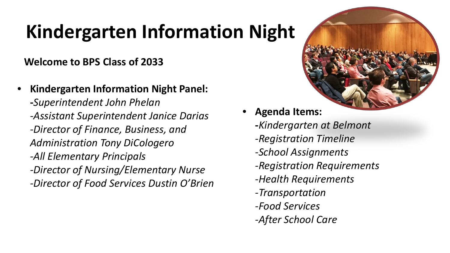## **Kindergarten Information Night**

## **Welcome to BPS Class of 2033**

- **Kindergarten Information Night Panel: -***Superintendent John Phelan -Assistant Superintendent Janice Darias*
	- *-Director of Finance, Business, and Administration Tony DiCologero*
	- *-All Elementary Principals*
	- *-Director of Nursing/Elementary Nurse*
	- *-Director of Food Services Dustin O'Brien*



- **Agenda Items:**
	- **-***Kindergarten at Belmont -Registration Timeline -School Assignments -Registration Requirements -Health Requirements -Transportation -Food Services*
	- *-After School Care*